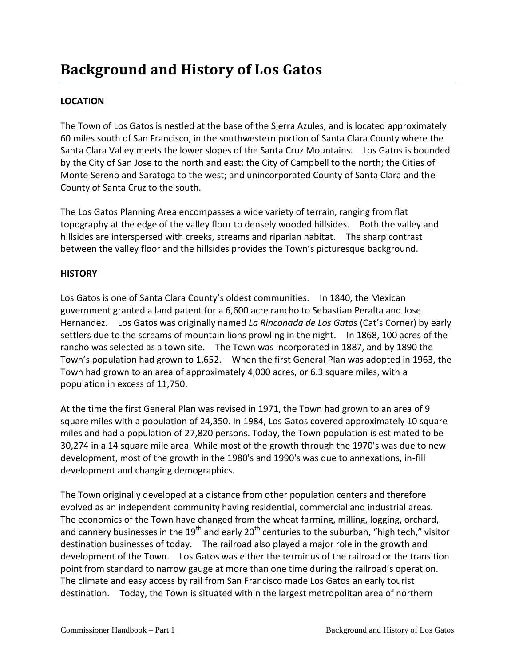## **Background and History of Los Gatos**

## **LOCATION**

The Town of Los Gatos is nestled at the base of the Sierra Azules, and is located approximately 60 miles south of San Francisco, in the southwestern portion of Santa Clara County where the Santa Clara Valley meets the lower slopes of the Santa Cruz Mountains. Los Gatos is bounded by the City of San Jose to the north and east; the City of Campbell to the north; the Cities of Monte Sereno and Saratoga to the west; and unincorporated County of Santa Clara and the County of Santa Cruz to the south.

The Los Gatos Planning Area encompasses a wide variety of terrain, ranging from flat topography at the edge of the valley floor to densely wooded hillsides. Both the valley and hillsides are interspersed with creeks, streams and riparian habitat. The sharp contrast between the valley floor and the hillsides provides the Town's picturesque background.

## **HISTORY**

Los Gatos is one of Santa Clara County's oldest communities. In 1840, the Mexican government granted a land patent for a 6,600 acre rancho to Sebastian Peralta and Jose Hernandez. Los Gatos was originally named *La Rinconada de Los Gatos* (Cat's Corner) by early settlers due to the screams of mountain lions prowling in the night. In 1868, 100 acres of the rancho was selected as a town site. The Town was incorporated in 1887, and by 1890 the Town's population had grown to 1,652. When the first General Plan was adopted in 1963, the Town had grown to an area of approximately 4,000 acres, or 6.3 square miles, with a population in excess of 11,750.

At the time the first General Plan was revised in 1971, the Town had grown to an area of 9 square miles with a population of 24,350. In 1984, Los Gatos covered approximately 10 square miles and had a population of 27,820 persons. Today, the Town population is estimated to be 30,274 in a 14 square mile area. While most of the growth through the 1970's was due to new development, most of the growth in the 1980's and 1990's was due to annexations, in-fill development and changing demographics.

The Town originally developed at a distance from other population centers and therefore evolved as an independent community having residential, commercial and industrial areas. The economics of the Town have changed from the wheat farming, milling, logging, orchard, and cannery businesses in the  $19<sup>th</sup>$  and early 20<sup>th</sup> centuries to the suburban, "high tech," visitor destination businesses of today. The railroad also played a major role in the growth and development of the Town. Los Gatos was either the terminus of the railroad or the transition point from standard to narrow gauge at more than one time during the railroad's operation. The climate and easy access by rail from San Francisco made Los Gatos an early tourist destination. Today, the Town is situated within the largest metropolitan area of northern